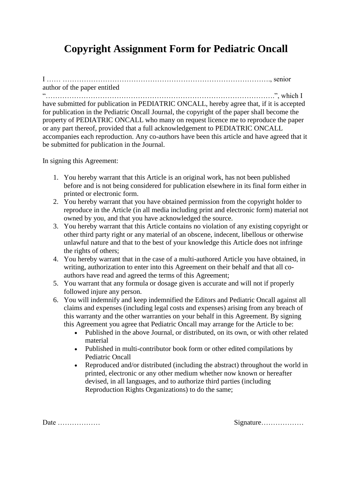## **Copyright Assignment Form for Pediatric Oncall**

I …… ……………………………………………………………………………., senior

author of the paper entitled "…………………………………………………………………………………….", which I

have submitted for publication in PEDIATRIC ONCALL, hereby agree that, if it is accepted for publication in the Pediatric Oncall Journal, the copyright of the paper shall become the property of PEDIATRIC ONCALL who many on request licence me to reproduce the paper or any part thereof, provided that a full acknowledgement to PEDIATRIC ONCALL accompanies each reproduction. Any co-authors have been this article and have agreed that it be submitted for publication in the Journal.

In signing this Agreement:

- 1. You hereby warrant that this Article is an original work, has not been published before and is not being considered for publication elsewhere in its final form either in printed or electronic form.
- 2. You hereby warrant that you have obtained permission from the copyright holder to reproduce in the Article (in all media including print and electronic form) material not owned by you, and that you have acknowledged the source.
- 3. You hereby warrant that this Article contains no violation of any existing copyright or other third party right or any material of an obscene, indecent, libellous or otherwise unlawful nature and that to the best of your knowledge this Article does not infringe the rights of others;
- 4. You hereby warrant that in the case of a multi-authored Article you have obtained, in writing, authorization to enter into this Agreement on their behalf and that all coauthors have read and agreed the terms of this Agreement;
- 5. You warrant that any formula or dosage given is accurate and will not if properly followed injure any person.
- 6. You will indemnify and keep indemnified the Editors and Pediatric Oncall against all claims and expenses (including legal costs and expenses) arising from any breach of this warranty and the other warranties on your behalf in this Agreement. By signing this Agreement you agree that Pediatric Oncall may arrange for the Article to be:
	- Published in the above Journal, or distributed, on its own, or with other related material
	- Published in multi-contributor book form or other edited compilations by Pediatric Oncall
	- Reproduced and/or distributed (including the abstract) throughout the world in printed, electronic or any other medium whether now known or hereafter devised, in all languages, and to authorize third parties (including Reproduction Rights Organizations) to do the same;

Date ……………… Signature………………